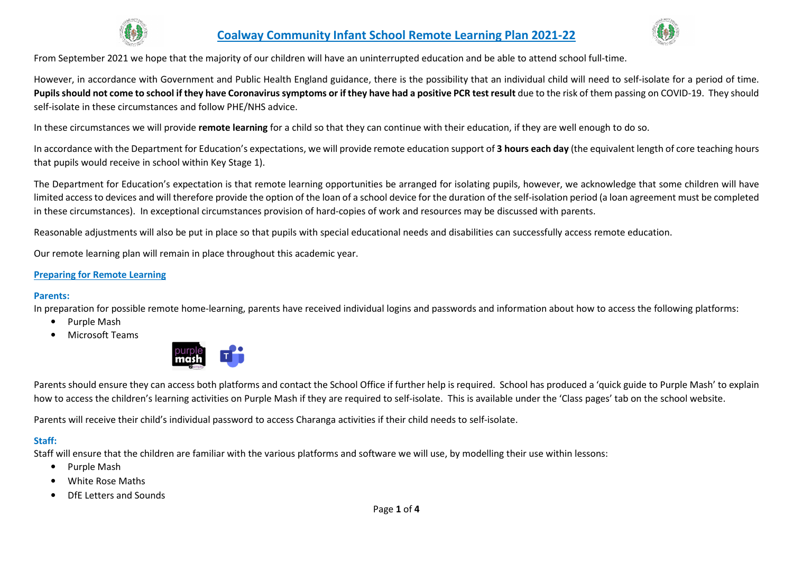

# Coalway Community Infant School Remote Learning Plan 2021-22



From September 2021 we hope that the majority of our children will have an uninterrupted education and be able to attend school full-time.

However, in accordance with Government and Public Health England guidance, there is the possibility that an individual child will need to self-isolate for a period of time. Pupils should not come to school if they have Coronavirus symptoms or if they have had a positive PCR test result due to the risk of them passing on COVID-19. They should self-isolate in these circumstances and follow PHE/NHS advice.

In these circumstances we will provide remote learning for a child so that they can continue with their education, if they are well enough to do so.

In accordance with the Department for Education's expectations, we will provide remote education support of 3 hours each day (the equivalent length of core teaching hours that pupils would receive in school within Key Stage 1).

The Department for Education's expectation is that remote learning opportunities be arranged for isolating pupils, however, we acknowledge that some children will have limited access to devices and will therefore provide the option of the loan of a school device for the duration of the self-isolation period (a loan agreement must be completed in these circumstances). In exceptional circumstances provision of hard-copies of work and resources may be discussed with parents.

Reasonable adjustments will also be put in place so that pupils with special educational needs and disabilities can successfully access remote education.

Our remote learning plan will remain in place throughout this academic year.

# Preparing for Remote Learning

## Parents:

In preparation for possible remote home-learning, parents have received individual logins and passwords and information about how to access the following platforms:

- Purple Mash
- •Microsoft Teams



Parents should ensure they can access both platforms and contact the School Office if further help is required. School has produced a 'quick guide to Purple Mash' to explain how to access the children's learning activities on Purple Mash if they are required to self-isolate. This is available under the 'Class pages' tab on the school website.

Parents will receive their child's individual password to access Charanga activities if their child needs to self-isolate.

## Staff:

Staff will ensure that the children are familiar with the various platforms and software we will use, by modelling their use within lessons:

- •Purple Mash
- •White Rose Maths
- •DfE Letters and Sounds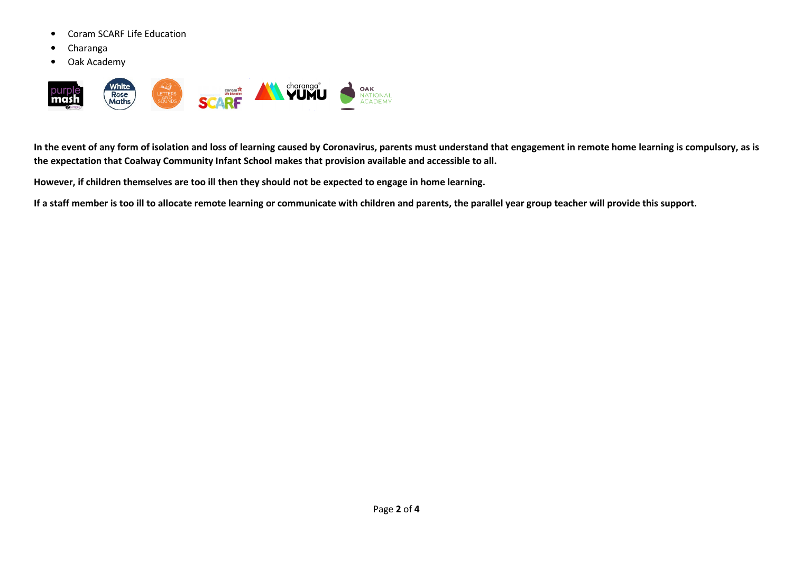- •Coram SCARF Life Education
- •Charanga
- •Oak Academy



In the event of any form of isolation and loss of learning caused by Coronavirus, parents must understand that engagement in remote home learning is compulsory, as is the expectation that Coalway Community Infant School makes that provision available and accessible to all.

However, if children themselves are too ill then they should not be expected to engage in home learning.

If a staff member is too ill to allocate remote learning or communicate with children and parents, the parallel year group teacher will provide this support.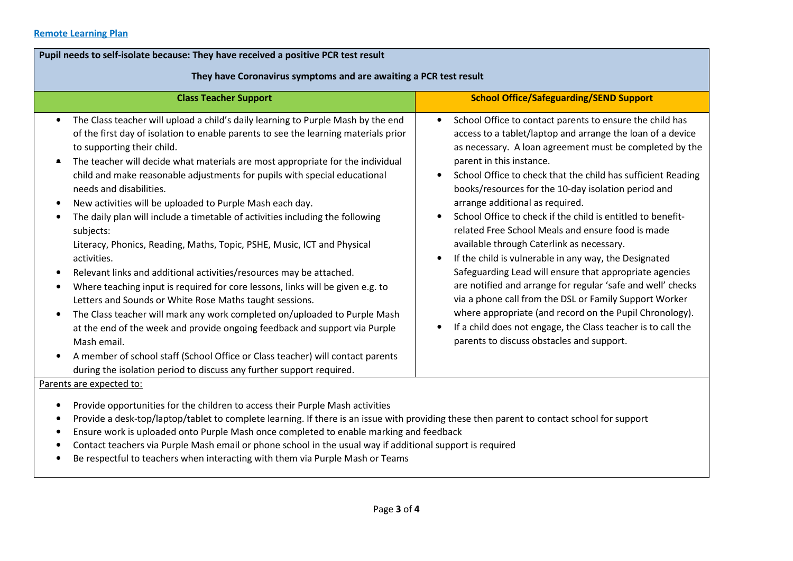### Remote Learning Plan

| Pupil needs to self-isolate because: They have received a positive PCR test result<br>They have Coronavirus symptoms and are awaiting a PCR test result                                                                                                                                                                                                                                                                                                                                                                                                                                                                                                                                                                                                                                                                                                                                                                                                                                                                                                                                                                                                                                                                                                   |                                                                                                                                                                                                                                                                                                                                                                                                                                                                                                                                                                                                                                                                                                                                                                                                                                                                                                                                                                                                                   |
|-----------------------------------------------------------------------------------------------------------------------------------------------------------------------------------------------------------------------------------------------------------------------------------------------------------------------------------------------------------------------------------------------------------------------------------------------------------------------------------------------------------------------------------------------------------------------------------------------------------------------------------------------------------------------------------------------------------------------------------------------------------------------------------------------------------------------------------------------------------------------------------------------------------------------------------------------------------------------------------------------------------------------------------------------------------------------------------------------------------------------------------------------------------------------------------------------------------------------------------------------------------|-------------------------------------------------------------------------------------------------------------------------------------------------------------------------------------------------------------------------------------------------------------------------------------------------------------------------------------------------------------------------------------------------------------------------------------------------------------------------------------------------------------------------------------------------------------------------------------------------------------------------------------------------------------------------------------------------------------------------------------------------------------------------------------------------------------------------------------------------------------------------------------------------------------------------------------------------------------------------------------------------------------------|
|                                                                                                                                                                                                                                                                                                                                                                                                                                                                                                                                                                                                                                                                                                                                                                                                                                                                                                                                                                                                                                                                                                                                                                                                                                                           |                                                                                                                                                                                                                                                                                                                                                                                                                                                                                                                                                                                                                                                                                                                                                                                                                                                                                                                                                                                                                   |
| The Class teacher will upload a child's daily learning to Purple Mash by the end<br>of the first day of isolation to enable parents to see the learning materials prior<br>to supporting their child.<br>The teacher will decide what materials are most appropriate for the individual<br>۰<br>child and make reasonable adjustments for pupils with special educational<br>needs and disabilities.<br>New activities will be uploaded to Purple Mash each day.<br>The daily plan will include a timetable of activities including the following<br>subjects:<br>Literacy, Phonics, Reading, Maths, Topic, PSHE, Music, ICT and Physical<br>activities.<br>Relevant links and additional activities/resources may be attached.<br>Where teaching input is required for core lessons, links will be given e.g. to<br>Letters and Sounds or White Rose Maths taught sessions.<br>The Class teacher will mark any work completed on/uploaded to Purple Mash<br>at the end of the week and provide ongoing feedback and support via Purple<br>Mash email.<br>A member of school staff (School Office or Class teacher) will contact parents<br>$\bullet$<br>during the isolation period to discuss any further support required.<br>Parents are expected to: | School Office to contact parents to ensure the child has<br>$\bullet$<br>access to a tablet/laptop and arrange the loan of a device<br>as necessary. A loan agreement must be completed by the<br>parent in this instance.<br>School Office to check that the child has sufficient Reading<br>$\bullet$<br>books/resources for the 10-day isolation period and<br>arrange additional as required.<br>School Office to check if the child is entitled to benefit-<br>$\bullet$<br>related Free School Meals and ensure food is made<br>available through Caterlink as necessary.<br>If the child is vulnerable in any way, the Designated<br>$\bullet$<br>Safeguarding Lead will ensure that appropriate agencies<br>are notified and arrange for regular 'safe and well' checks<br>via a phone call from the DSL or Family Support Worker<br>where appropriate (and record on the Pupil Chronology).<br>If a child does not engage, the Class teacher is to call the<br>parents to discuss obstacles and support. |

- $\bullet$ Provide opportunities for the children to access their Purple Mash activities
- $\bullet$ Provide a desk-top/laptop/tablet to complete learning. If there is an issue with providing these then parent to contact school for support
- •Ensure work is uploaded onto Purple Mash once completed to enable marking and feedback
- $\bullet$ Contact teachers via Purple Mash email or phone school in the usual way if additional support is required
- •Be respectful to teachers when interacting with them via Purple Mash or Teams